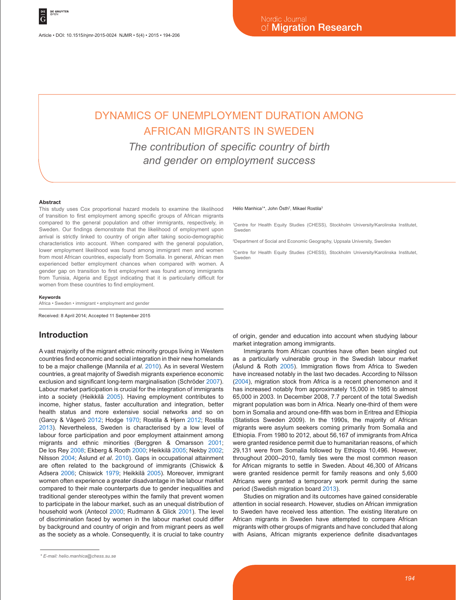Article • DOI: 10.1515/njmr-2015-0024 NJMR • 5(4) • 2015 • 194-206

# DYNAMICS OF UNEMPLOYMENT DURATION AMONG AFRICAN MIGRANTS IN SWEDEN

*The contribution of specific country of birth and gender on employment success*

#### **Abstract**

This study uses Cox proportional hazard models to examine the likelihood of transition to first employment among specific groups of African migrants compared to the general population and other immigrants, respectively, in Sweden. Our findings demonstrate that the likelihood of employment upon arrival is strictly linked to country of origin after taking socio-demographic characteristics into account. When compared with the general population, lower employment likelihood was found among immigrant men and women from most African countries, especially from Somalia. In general, African men experienced better employment chances when compared with women. A gender gap on transition to first employment was found among immigrants from Tunisia, Algeria and Egypt indicating that it is particularly difficult for women from these countries to find employment.

**Keywords** Africa • Sweden • immigrant • employment and gender

Received: 8 April 2014; Accepted 11 September 2015

## **Introduction**

A vast majority of the migrant ethnic minority groups living in Western countries find economic and social integration in their new homelands to be a major challenge (Mannila *et al*. 2010). As in several Western countries, a great majority of Swedish migrants experience economic exclusion and significant long-term marginalisation (Schröder 2007). Labour market participation is crucial for the integration of immigrants into a society (Heikkilä 2005). Having employment contributes to income, higher status, faster acculturation and integration, better health status and more extensive social networks and so on (Garcy & Vågerö 2012; Hodge 1970; Rostila & Hjern 2012; Rostila 2013). Nevertheless, Sweden is characterised by a low level of labour force participation and poor employment attainment among migrants and ethnic minorities (Berggren & Omarsson 2001; De los Rey 2008; Ekberg & Rooth 2000; Heikkilä 2005; Nekby 2002; Nilsson 2004; Åslund *et al*. 2010). Gaps in occupational attainment are often related to the background of immigrants (Chiswick & Adsera 2006; Chiswick 1979; Heikkilä 2005). Moreover, immigrant women often experience a greater disadvantage in the labour market compared to their male counterparts due to gender inequalities and traditional gender stereotypes within the family that prevent women to participate in the labour market, such as an unequal distribution of household work (Antecol 2000; Rudmann & Glick 2001). The level of discrimination faced by women in the labour market could differ by background and country of origin and from migrant peers as well as the society as a whole. Consequently, it is crucial to take country

*\* E-mail: helio.manhica@chess.su.se*

#### Hélio Manhica<sup>1\*</sup>, John Osth<sup>2</sup>, Mikael Rostila<sup>3</sup>

1 Centre for Health Equity Studies (CHESS), Stockholm University/Karolinska Institutet, Sweden

2 Department of Social and Economic Geography, Uppsala University, Sweden

3 Centre for Health Equity Studies (CHESS), Stockholm University/Karolinska Institutet, Sweden

of origin, gender and education into account when studying labour market integration among immigrants.

Immigrants from African countries have often been singled out as a particularly vulnerable group in the Swedish labour market (Åslund & Roth 2005). Immigration flows from Africa to Sweden have increased notably in the last two decades. According to Nilsson (2004), migration stock from Africa is a recent phenomenon and it has increased notably from approximately 15,000 in 1985 to almost 65,000 in 2003. In December 2008, 7.7 percent of the total Swedish migrant population was born in Africa. Nearly one-third of them were born in Somalia and around one-fifth was born in Eritrea and Ethiopia (Statistics Sweden 2009). In the 1990s, the majority of African migrants were asylum seekers coming primarily from Somalia and Ethiopia. From 1980 to 2012, about 56,167 of immigrants from Africa were granted residence permit due to humanitarian reasons, of which 29,131 were from Somalia followed by Ethiopia 10,496. However, throughout 2000–2010, family ties were the most common reason for African migrants to settle in Sweden. About 46,300 of Africans were granted residence permit for family reasons and only 5,600 Africans were granted a temporary work permit during the same period (Swedish migration board 2013).

Studies on migration and its outcomes have gained considerable attention in social research. However, studies on African immigration to Sweden have received less attention. The existing literature on African migrants in Sweden have attempted to compare African migrants with other groups of migrants and have concluded that along with Asians, African migrants experience definite disadvantages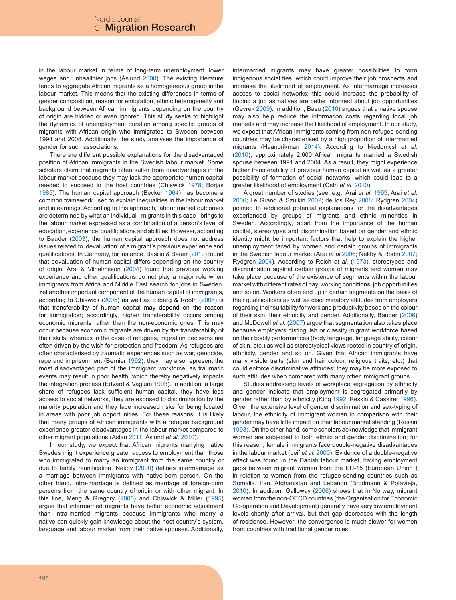in the labour market in terms of long-term unemployment, lower wages and unhealthier jobs (Åslund 2000). The existing literature tends to aggregate African migrants as a homogeneous group in the labour market. This means that the existing differences in terms of gender composition, reason for emigration, ethnic heterogeneity and background between African immigrants depending on the country of origin are hidden or even ignored. This study seeks to highlight the dynamics of unemployment duration among specific groups of migrants with African origin who immigrated to Sweden between 1994 and 2008. Additionally, the study analyses the importance of gender for such associations.

There are different possible explanations for the disadvantaged position of African immigrants in the Swedish labour market. Some scholars claim that migrants often suffer from disadvantages in the labour market because they may lack the appropriate human capital needed to succeed in the host countries (Chiswick 1978; Borjas 1985). The human capital approach (Becker 1964) has become a common framework used to explain inequalities in the labour market and in earnings. According to this approach, labour market outcomes are determined by what an individual - migrants in this case - brings to the labour market expressed as a combination of a person's level of education, experience, qualifications and abilities. However, according to Bauder (2003), the human capital approach does not address issues related to 'devaluation' of a migrant's previous experience and qualifications. In Germany, for instance, Basilio & Bauer (2010) found that devaluation of human capital differs depending on the country of origin. Arai & Vilhelmsson (2004) found that previous working experience and other qualifications do not play a major role when immigrants from Africa and Middle East search for jobs in Sweden. Yet another important component of the human capital of immigrants, according to Chiswick (2005) as well as Ekberg & Rooth (2006) is that transferability of human capital may depend on the reason for immigration; accordingly, higher transferability occurs among economic migrants rather than the non-economic ones. This may occur because economic migrants are driven by the transferability of their skills, whereas in the case of refugees, migration decisions are often driven by the wish for protection and freedom. As refugees are often characterised by traumatic experiences such as war, genocide, rape and imprisonment (Bernier 1992), they may also represent the most disadvantaged part of the immigrant workforce, as traumatic events may result in poor health, which thereby negatively impacts the integration process (Edvard & Vaglum 1993). In addition, a large share of refugees lack sufficient human capital, they have less access to social networks, they are exposed to discrimination by the majority population and they face increased risks for being located in areas with poor job opportunities. For these reasons, it is likely that many groups of African immigrants with a refugee background experience greater disadvantages in the labour market compared to other migrant populations (Aslan 2011; Åslund *et al*. 2010).

In our study, we expect that African migrants marrying native Swedes might experience greater access to employment than those who immigrated to marry an immigrant from the same country or due to family reunification. Nekby (2000) defines intermarriage as a marriage between immigrants with native-born person. On the other hand, intra-marriage is defined as marriage of foreign-born persons from the same country of origin or with other migrant. In this line, Meng & Gregory (2005) and Chiswick & Miller (1995) argue that intermarried migrants have better economic adjustment than intra-married migrants because immigrants who marry a native can quickly gain knowledge about the host country's system, language and labour market from their native spouses. Additionally,

intermarried migrants may have greater possibilities to form indigenous social ties, which could improve their job prospects and increase the likelihood of employment. As intermarriage increases access to social networks; this could increase the probability of finding a job as natives are better informed about job opportunities (Gevrek 2009). In addition, Basu (2010) argues that a native spouse may also help reduce the information costs regarding local job markets and may increase the likelihood of employment. In our study, we expect that African immigrants coming from non-refugee-sending countries may be characterised by a high proportion of intermarried migrants (Haandrikman 2014). According to Niedomysl *et al*. (2010), approximately 2,600 African migrants married a Swedish spouse between 1991 and 2004. As a result, they might experience higher transferability of previous human capital as well as a greater possibility of formation of social networks, which could lead to a greater likelihood of employment (Östh *et al*. 2010).

A great number of studies (see, e.g., Arai *et al*. 1999; Arai *et al*. 2006; Le Grand & Szulkin 2002; de los Rey 2008; Rydgren 2004) pointed to additional potential explanations for the disadvantages experienced by groups of migrants and ethnic minorities in Sweden. Accordingly, apart from the importance of the human capital, stereotypes and discrimination based on gender and ethnic identity might be important factors that help to explain the higher unemployment faced by women and certain groups of immigrants in the Swedish labour market (Arai *et al*.2006; Nekby & Rödin 2007; Rydgren 2004). According to Reich *et al*. (1973), stereotypes and discrimination against certain groups of migrants and women may take place because of the existence of segments within the labour market with different rates of pay, working conditions, job opportunities and so on. Workers often end up in certain segments on the basis of their qualifications as well as discriminatory attitudes from employers regarding their suitability for work and productivity based on the colour of their skin, their ethnicity and gender. Additionally, Bauder (2006) and McDowell *et al*. (2007) argue that segmentation also takes place because employers distinguish or classify migrant workforce based on their bodily performances (body language, language ability, colour of skin, etc.) as well as stereotypical views rooted in country of origin, ethnicity, gender and so on. Given that African immigrants have many visible traits (skin and hair colour, religious traits, etc.) that could enforce discriminative attitudes; they may be more exposed to such attitudes when compared with many other immigrant groups.

Studies addressing levels of workplace segregation by ethnicity and gender indicate that employment is segregated primarily by gender rather than by ethnicity (King 1992; Reskin & Cassirer 1996). Given the extensive level of gender discrimination and sex-typing of labour, the ethnicity of immigrant women in comparison with their gender may have little impact on their labour market standing (Reskin 1993). On the other hand, some scholars acknowledge that immigrant women are subjected to both ethnic and gender discrimination; for this reason, female immigrants face double-negative disadvantages in the labour market (Leif *et al*. 2000). Evidence of a double-negative effect was found in the Danish labour market, having employment gaps between migrant women from the EU-15 (European Union ) in relation to women from the refugee-sending countries such as Somalia, Iran, Afghanistan and Lebanon (Brodmann & Polavieja, 2010). In addition, Galloway (2006) shows that in Norway, migrant women from the non-OECD countries (the Organisation for Economic Co-operation and Development) generally have very low employment levels shortly after arrival, but that gap decreases with the length of residence. However, the convergence is much slower for women from countries with traditional gender roles.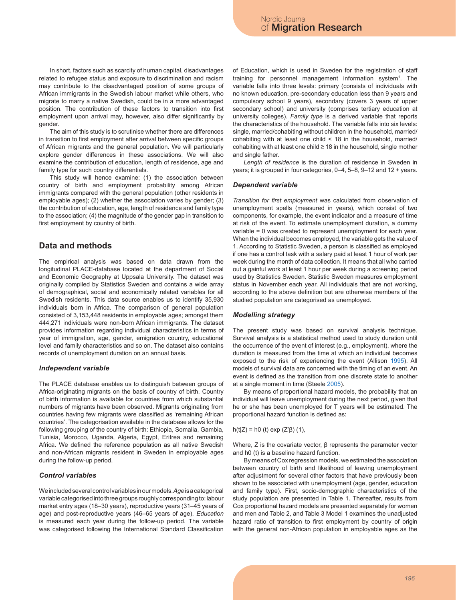In short, factors such as scarcity of human capital, disadvantages related to refugee status and exposure to discrimination and racism may contribute to the disadvantaged position of some groups of African immigrants in the Swedish labour market while others, who migrate to marry a native Swedish, could be in a more advantaged position. The contribution of these factors to transition into first employment upon arrival may, however, also differ significantly by gender.

The aim of this study is to scrutinise whether there are differences in transition to first employment after arrival between specific groups of African migrants and the general population. We will particularly explore gender differences in these associations. We will also examine the contribution of education, length of residence, age and family type for such country differentials.

This study will hence examine: (1) the association between country of birth and employment probability among African immigrants compared with the general population (other residents in employable ages); (2) whether the association varies by gender; (3) the contribution of education, age, length of residence and family type to the association; (4) the magnitude of the gender gap in transition to first employment by country of birth.

## **Data and methods**

The empirical analysis was based on data drawn from the longitudinal PLACE-database located at the department of Social and Economic Geography at Uppsala University. The dataset was originally compiled by Statistics Sweden and contains a wide array of demographical, social and economically related variables for all Swedish residents. This data source enables us to identify 35,930 individuals born in Africa. The comparison of general population consisted of 3,153,448 residents in employable ages; amongst them 444,271 individuals were non-born African immigrants. The dataset provides information regarding individual characteristics in terms of year of immigration, age, gender, emigration country, educational level and family characteristics and so on. The dataset also contains records of unemployment duration on an annual basis.

### *Independent variable*

The PLACE database enables us to distinguish between groups of Africa-originating migrants on the basis of country of birth. Country of birth information is available for countries from which substantial numbers of migrants have been observed. Migrants originating from countries having few migrants were classified as 'remaining African countries'. The categorisation available in the database allows for the following grouping of the country of birth: Ethiopia, Somalia, Gambia, Tunisia, Morocco, Uganda, Algeria, Egypt, Eritrea and remaining Africa. We defined the reference population as all native Swedish and non-African migrants resident in Sweden in employable ages during the follow-up period.

### *Control variables*

We included several control variables in our models. *Age* is a categorical variable categorised into three groups roughly corresponding to: labour market entry ages (18–30 years), reproductive years (31–45 years of age) and post-reproductive years (46–65 years of age). *Education* is measured each year during the follow-up period. The variable was categorised following the International Standard Classification

of Education, which is used in Sweden for the registration of staff training for personnel management information system<sup>1</sup>. The variable falls into three levels: primary (consists of individuals with no known education, pre-secondary education less than 9 years and compulsory school 9 years), secondary (covers 3 years of upper secondary school) and university (comprises tertiary education at university colleges). *Family type* is a derived variable that reports the characteristics of the household. The variable falls into six levels: single, married/cohabiting without children in the household, married/ cohabiting with at least one child < 18 in the household, married/ cohabiting with at least one child ≥ 18 in the household, single mother and single father.

*Length of residence* is the duration of residence in Sweden in years; it is grouped in four categories, 0–4, 5–8, 9–12 and 12 + years.

#### *Dependent variable*

*Transition for first employment* was calculated from observation of unemployment spells (measured in years), which consist of two components, for example, the event indicator and a measure of time at risk of the event. To estimate unemployment duration, a dummy variable = 0 was created to represent unemployment for each year. When the individual becomes employed, the variable gets the value of 1. According to Statistic Sweden, a person is classified as employed if one has a control task with a salary paid at least 1 hour of work per week during the month of data collection. It means that all who carried out a gainful work at least 1 hour per week during a screening period used by Statistics Sweden. Statistic Sweden measures employment status in November each year. All individuals that are not working, according to the above definition but are otherwise members of the studied population are categorised as unemployed.

#### *Modelling strategy*

The present study was based on survival analysis technique. Survival analysis is a statistical method used to study duration until the occurrence of the event of interest (e.g., employment), where the duration is measured from the time at which an individual becomes exposed to the risk of experiencing the event (Allison 1995). All models of survival data are concerned with the timing of an event. An event is defined as the transition from one discrete state to another at a single moment in time (Steele 2005).

By means of proportional hazard models, the probability that an individual will leave unemployment during the next period, given that he or she has been unemployed for T years will be estimated. The proportional hazard function is defined as:

h(t|Z) = h0 (t) exp (Z'β) (1),

Where, Z is the covariate vector, β represents the parameter vector and h0 (t) is a baseline hazard function.

By means of Cox regression models, we estimated the association between country of birth and likelihood of leaving unemployment after adjustment for several other factors that have previously been shown to be associated with unemployment (age, gender, education and family type). First, socio-demographic characteristics of the study population are presented in Table 1. Thereafter, results from Cox proportional hazard models are presented separately for women and men and Table 2, and Table 3 Model 1 examines the unadjusted hazard ratio of transition to first employment by country of origin with the general non-African population in employable ages as the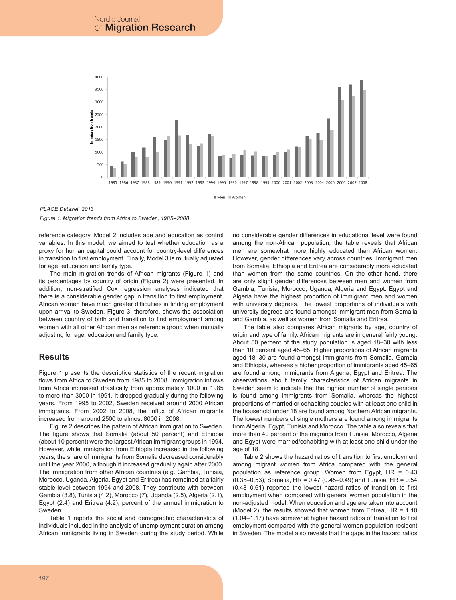

*PLACE Dataset, 2013*

*Figure 1. Migration trends from Africa to Sweden, 1985–2008*

reference category. Model 2 includes age and education as control variables. In this model, we aimed to test whether education as a proxy for human capital could account for country-level differences in transition to first employment. Finally, Model 3 is mutually adjusted for age, education and family type.

The main migration trends of African migrants (Figure 1) and its percentages by country of origin (Figure 2) were presented. In addition, non-stratified Cox regression analyses indicated that there is a considerable gender gap in transition to first employment. African women have much greater difficulties in finding employment upon arrival to Sweden. Figure 3, therefore, shows the association between country of birth and transition to first employment among women with all other African men as reference group when mutually adjusting for age, education and family type.

## **Results**

Figure 1 presents the descriptive statistics of the recent migration flows from Africa to Sweden from 1985 to 2008. Immigration inflows from Africa increased drastically from approximately 1000 in 1985 to more than 3000 in 1991. It dropped gradually during the following years. From 1995 to 2002, Sweden received around 2000 African immigrants. From 2002 to 2008, the influx of African migrants increased from around 2500 to almost 8000 in 2008.

Figure 2 describes the pattern of African immigration to Sweden. The figure shows that Somalia (about 50 percent) and Ethiopia (about 10 percent) were the largest African immigrant groups in 1994. However, while immigration from Ethiopia increased in the following years, the share of immigrants from Somalia decreased considerably until the year 2000, although it increased gradually again after 2000. The immigration from other African countries (e.g. Gambia, Tunisia, Morocco, Uganda, Algeria, Egypt and Eritrea) has remained at a fairly stable level between 1994 and 2008. They contribute with between Gambia (3.8), Tunisia (4.2), Morocco (7), Uganda (2.5), Algeria (2.1), Egypt (2.4) and Eritrea (4.2), percent of the annual immigration to Sweden.

Table 1 reports the social and demographic characteristics of individuals included in the analysis of unemployment duration among African immigrants living in Sweden during the study period. While no considerable gender differences in educational level were found among the non-African population, the table reveals that African men are somewhat more highly educated than African women. However, gender differences vary across countries. Immigrant men from Somalia, Ethiopia and Eritrea are considerably more educated than women from the same countries. On the other hand, there are only slight gender differences between men and women from Gambia, Tunisia, Morocco, Uganda, Algeria and Egypt. Egypt and Algeria have the highest proportion of immigrant men and women with university degrees. The lowest proportions of individuals with university degrees are found amongst immigrant men from Somalia and Gambia, as well as women from Somalia and Eritrea.

The table also compares African migrants by age, country of origin and type of family. African migrants are in general fairly young. About 50 percent of the study population is aged 18–30 with less than 10 percent aged 45–65. Higher proportions of African migrants aged 18–30 are found amongst immigrants from Somalia, Gambia and Ethiopia, whereas a higher proportion of immigrants aged 45–65 are found among immigrants from Algeria, Egypt and Eritrea. The observations about family characteristics of African migrants in Sweden seem to indicate that the highest number of single persons is found among immigrants from Somalia, whereas the highest proportions of married or cohabiting couples with at least one child in the household under 18 are found among Northern African migrants. The lowest numbers of single mothers are found among immigrants from Algeria, Egypt, Tunisia and Morocco. The table also reveals that more than 40 percent of the migrants from Tunisia, Morocco, Algeria and Egypt were married/cohabiting with at least one child under the age of 18.

Table 2 shows the hazard ratios of transition to first employment among migrant women from Africa compared with the general population as reference group. Women from Egypt, HR = 0.43 (0.35–0.53), Somalia, HR = 0.47 (0.45–0.49) and Tunisia, HR = 0.54 (0.48–0.61) reported the lowest hazard ratios of transition to first employment when compared with general women population in the non-adjusted model. When education and age are taken into account (Model 2), the results showed that women from Eritrea,  $HR = 1.10$ (1.04–1.17) have somewhat higher hazard ratios of transition to first employment compared with the general women population resident in Sweden. The model also reveals that the gaps in the hazard ratios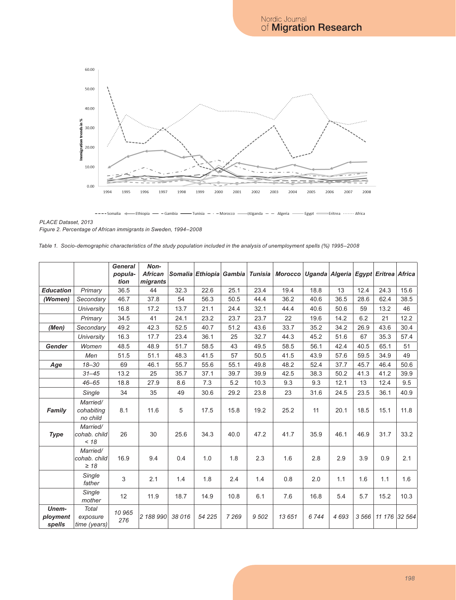

Egypt - Eritrea ....... Africa

*PLACE Dataset, 2013 Figure 2. Percentage of African immigrants in Sweden, 1994–2008*

|  | Table 1. Socio-demographic characteristics of the study population included in the analysis of unemployment spells (%) 1995–2008 |  |  |  |  |  |
|--|----------------------------------------------------------------------------------------------------------------------------------|--|--|--|--|--|
|--|----------------------------------------------------------------------------------------------------------------------------------|--|--|--|--|--|

|                             |                                          | <b>General</b><br>popula-<br>tion | Non-<br><b>African</b><br>migrants |        | Somalia Ethiopia Gambia |         | <b>Tunisia</b> | <b>Morocco</b> | Uganda Algeria Egypt Eritrea Africa |      |         |               |      |
|-----------------------------|------------------------------------------|-----------------------------------|------------------------------------|--------|-------------------------|---------|----------------|----------------|-------------------------------------|------|---------|---------------|------|
| <b>Education</b>            | Primary                                  | 36.5                              | 44                                 | 32.3   | 22.6                    | 25.1    | 23.4           | 19.4           | 18.8                                | 13   | 12.4    | 24.3          | 15.6 |
| (Women)                     | Secondary                                | 46.7                              | 37.8                               | 54     | 56.3                    | 50.5    | 44.4           | 36.2           | 40.6                                | 36.5 | 28.6    | 62.4          | 38.5 |
|                             | University                               | 16.8                              | 17.2                               | 13.7   | 21.1                    | 24.4    | 32.1           | 44.4           | 40.6                                | 50.6 | 59      | 13.2          | 46   |
|                             | Primary                                  | 34.5                              | 41                                 | 24.1   | 23.2                    | 23.7    | 23.7           | 22             | 19.6                                | 14.2 | 6.2     | 21            | 12.2 |
| (Men)                       | Secondary                                | 49.2                              | 42.3                               | 52.5   | 40.7                    | 51.2    | 43.6           | 33.7           | 35.2                                | 34.2 | 26.9    | 43.6          | 30.4 |
|                             | University                               | 16.3                              | 17.7                               | 23.4   | 36.1                    | 25      | 32.7           | 44.3           | 45.2                                | 51.6 | 67      | 35.3          | 57.4 |
| <b>Gender</b>               | Women                                    | 48.5                              | 48.9                               | 51.7   | 58.5                    | 43      | 49.5           | 58.5           | 56.1                                | 42.4 | 40.5    | 65.1          | 51   |
|                             | Men                                      | 51.5                              | 51.1                               | 48.3   | 41.5                    | 57      | 50.5           | 41.5           | 43.9                                | 57.6 | 59.5    | 34.9          | 49   |
| Age                         | $18 - 30$                                | 69                                | 46.1                               | 55.7   | 55.6                    | 55.1    | 49.8           | 48.2           | 52.4                                | 37.7 | 45.7    | 46.4          | 50.6 |
|                             | $31 - 45$                                | 13.2                              | 25                                 | 35.7   | 37.1                    | 39.7    | 39.9           | 42.5           | 38.3                                | 50.2 | 41.3    | 41.2          | 39.9 |
|                             | $46 - 65$                                | 18.8                              | 27.9                               | 8.6    | 7.3                     | 5.2     | 10.3           | 9.3            | 9.3                                 | 12.1 | 13      | 12.4          | 9.5  |
|                             | Single                                   | 34                                | 35                                 | 49     | 30.6                    | 29.2    | 23.8           | 23             | 31.6                                | 24.5 | 23.5    | 36.1          | 40.9 |
| Family                      | Married/<br>cohabiting<br>no child       | 8.1                               | 11.6                               | 5      | 17.5                    | 15.8    | 19.2           | 25.2           | 11                                  | 20.1 | 18.5    | 15.1          | 11.8 |
| <b>Type</b>                 | Married/<br>cohab. child<br>< 18         | 26                                | 30                                 | 25.6   | 34.3                    | 40.0    | 47.2           | 41.7           | 35.9                                | 46.1 | 46.9    | 31.7          | 33.2 |
|                             | Married/<br>cohab. child<br>$\geq 18$    | 16.9                              | 9.4                                | 0.4    | 1.0                     | 1.8     | 2.3            | 1.6            | 2.8                                 | 2.9  | 3.9     | 0.9           | 2.1  |
|                             | Single<br>father                         | 3                                 | 2.1                                | 1.4    | 1.8                     | 2.4     | 1.4            | 0.8            | 2.0                                 | 1.1  | 1.6     | 1.1           | 1.6  |
|                             | Single<br>mother                         | 12                                | 11.9                               | 18.7   | 14.9                    | 10.8    | 6.1            | 7.6            | 16.8                                | 5.4  | 5.7     | 15.2          | 10.3 |
| Unem-<br>ployment<br>spells | <b>Total</b><br>exposure<br>time (years) | 10 965<br>276                     | 2 188 990                          | 38 016 | 54 225                  | 7 2 6 9 | 9 502          | 13 651         | 6744                                | 4693 | 3 5 6 6 | 11 176 32 564 |      |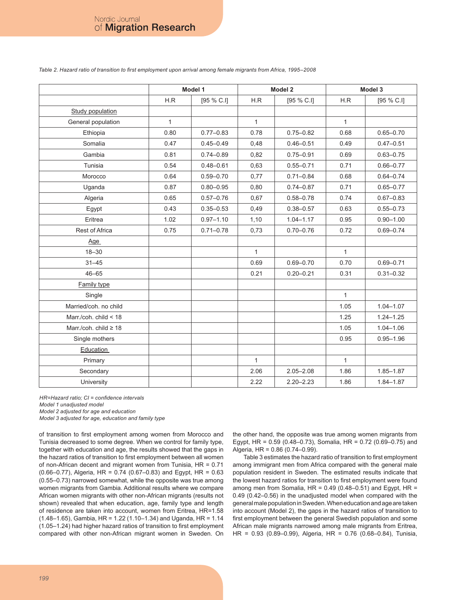|                            | Model 1      |               |              | Model 2       | Model 3      |               |  |
|----------------------------|--------------|---------------|--------------|---------------|--------------|---------------|--|
|                            | H.R          | $[95 \% C.1]$ | H.R          | $[95 \% C.1]$ | H.R          | [95 % C.I]    |  |
| <b>Study population</b>    |              |               |              |               |              |               |  |
| General population         | $\mathbf{1}$ |               | $\mathbf{1}$ |               | $\mathbf{1}$ |               |  |
| Ethiopia                   | 0.80         | $0.77 - 0.83$ | 0.78         | $0.75 - 0.82$ | 0.68         | $0.65 - 0.70$ |  |
| Somalia                    | 0.47         | $0.45 - 0.49$ | 0,48         | $0.46 - 0.51$ | 0.49         | $0.47 - 0.51$ |  |
| Gambia                     | 0.81         | $0.74 - 0.89$ | 0,82         | $0.75 - 0.91$ | 0.69         | $0.63 - 0.75$ |  |
| Tunisia                    | 0.54         | $0.48 - 0.61$ | 0,63         | $0.55 - 0.71$ | 0.71         | $0.66 - 0.77$ |  |
| Morocco                    | 0.64         | $0.59 - 0.70$ | 0,77         | $0.71 - 0.84$ | 0.68         | $0.64 - 0.74$ |  |
| Uganda                     | 0.87         | $0.80 - 0.95$ | 0,80         | $0.74 - 0.87$ | 0.71         | $0.65 - 0.77$ |  |
| Algeria                    | 0.65         | $0.57 - 0.76$ | 0,67         | $0.58 - 0.78$ | 0.74         | $0.67 - 0.83$ |  |
| Egypt                      | 0.43         | $0.35 - 0.53$ | 0,49         | $0.38 - 0.57$ | 0.63         | $0.55 - 0.73$ |  |
| Eritrea                    | 1.02         | $0.97 - 1.10$ | 1,10         | $1.04 - 1.17$ | 0.95         | $0.90 - 1.00$ |  |
| <b>Rest of Africa</b>      | 0.75         | $0.71 - 0.78$ | 0,73         | $0.70 - 0.76$ | 0.72         | $0.69 - 0.74$ |  |
| Age                        |              |               |              |               |              |               |  |
| $18 - 30$                  |              |               | $\mathbf{1}$ |               | $\mathbf{1}$ |               |  |
| $31 - 45$                  |              |               | 0.69         | $0.69 - 0.70$ | 0.70         | $0.69 - 0.71$ |  |
| $46 - 65$                  |              |               | 0.21         | $0.20 - 0.21$ | 0.31         | $0.31 - 0.32$ |  |
| <b>Family type</b>         |              |               |              |               |              |               |  |
| Single                     |              |               |              |               | $\mathbf{1}$ |               |  |
| Married/coh. no child      |              |               |              |               | 1.05         | $1.04 - 1.07$ |  |
| Marr./coh. child $<$ 18    |              |               |              |               | 1.25         | $1.24 - 1.25$ |  |
| Marr./coh. child $\geq 18$ |              |               |              |               | 1.05         | $1.04 - 1.06$ |  |
| Single mothers             |              |               |              |               | 0.95         | $0.95 - 1.96$ |  |
| Education                  |              |               |              |               |              |               |  |
| Primary                    |              |               | $\mathbf{1}$ |               | $\mathbf{1}$ |               |  |
| Secondary                  |              |               | 2.06         | $2.05 - 2.08$ | 1.86         | $1.85 - 1.87$ |  |
| University                 |              |               | 2.22         | $2.20 - 2.23$ | 1.86         | $1.84 - 1.87$ |  |

#### *Table 2. Hazard ratio of transition to first employment upon arrival among female migrants from Africa, 1995–2008*

*HR=Hazard ratio; CI = confidence intervals*

*Model 1 unadjusted model*

*Model 2 adjusted for age and education* 

*Model 3 adjusted for age, education and family type*

of transition to first employment among women from Morocco and Tunisia decreased to some degree. When we control for family type, together with education and age, the results showed that the gaps in the hazard ratios of transition to first employment between all women of non-African decent and migrant women from Tunisia, HR = 0.71 (0.66–0.77), Algeria, HR = 0.74 (0.67–0.83) and Egypt, HR = 0.63 (0.55–0.73) narrowed somewhat, while the opposite was true among women migrants from Gambia. Additional results where we compare African women migrants with other non-African migrants (results not shown) revealed that when education, age, family type and length of residence are taken into account, women from Eritrea, HR=1.58 (1.48–1.65), Gambia, HR = 1.22 (1.10–1.34) and Uganda, HR = 1.14 (1.05–1.24) had higher hazard ratios of transition to first employment compared with other non-African migrant women in Sweden. On

the other hand, the opposite was true among women migrants from Egypt, HR = 0.59 (0.48–0.73), Somalia, HR = 0.72 (0.69–0.75) and Algeria, HR = 0.86 (0.74–0.99).

Table 3 estimates the hazard ratio of transition to first employment among immigrant men from Africa compared with the general male population resident in Sweden. The estimated results indicate that the lowest hazard ratios for transition to first employment were found among men from Somalia,  $HR = 0.49$  (0.48–0.51) and Egypt,  $HR =$ 0.49 (0.42–0.56) in the unadjusted model when compared with the general male population in Sweden. When education and age are taken into account (Model 2), the gaps in the hazard ratios of transition to first employment between the general Swedish population and some African male migrants narrowed among male migrants from Eritrea, HR = 0.93 (0.89–0.99), Algeria, HR = 0.76 (0.68–0.84), Tunisia,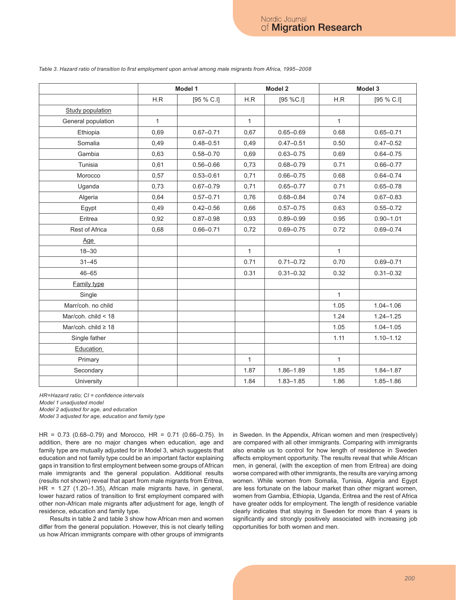|                       | Model 1      |               |              | Model 2       | Model 3      |               |  |
|-----------------------|--------------|---------------|--------------|---------------|--------------|---------------|--|
|                       | H.R          | [95 % C.I]    | H.R          | [95 %C.I]     | H.R          | [95 % C.I]    |  |
| Study population      |              |               |              |               |              |               |  |
| General population    | $\mathbf{1}$ |               | $\mathbf{1}$ |               | $\mathbf{1}$ |               |  |
| Ethiopia              | 0,69         | $0.67 - 0.71$ | 0,67         | $0.65 - 0.69$ | 0.68         | $0.65 - 0.71$ |  |
| Somalia               | 0,49         | $0.48 - 0.51$ | 0,49         | $0.47 - 0.51$ | 0.50         | $0.47 - 0.52$ |  |
| Gambia                | 0,63         | $0.58 - 0.70$ | 0,69         | $0.63 - 0.75$ | 0.69         | $0.64 - 0.75$ |  |
| Tunisia               | 0,61         | $0.56 - 0.66$ | 0,73         | $0.68 - 0.79$ | 0.71         | $0.66 - 0.77$ |  |
| Morocco               | 0,57         | $0.53 - 0.61$ | 0,71         | $0.66 - 0.75$ | 0.68         | $0.64 - 0.74$ |  |
| Uganda                | 0,73         | $0.67 - 0.79$ | 0,71         | $0.65 - 0.77$ | 0.71         | $0.65 - 0.78$ |  |
| Algeria               | 0,64         | $0.57 - 0.71$ | 0,76         | $0.68 - 0.84$ | 0.74         | $0.67 - 0.83$ |  |
| Egypt                 | 0,49         | $0.42 - 0.56$ | 0,66         | $0.57 - 0.75$ | 0.63         | $0.55 - 0.72$ |  |
| Eritrea               | 0,92         | $0.87 - 0.98$ | 0,93         | $0.89 - 0.99$ | 0.95         | $0.90 - 1.01$ |  |
| Rest of Africa        | 0,68         | $0.66 - 0.71$ | 0,72         | $0.69 - 0.75$ | 0.72         | $0.69 - 0.74$ |  |
| <b>Age</b>            |              |               |              |               |              |               |  |
| $18 - 30$             |              |               | $\mathbf{1}$ |               | $\mathbf{1}$ |               |  |
| $31 - 45$             |              |               | 0.71         | $0.71 - 0.72$ | 0.70         | $0.69 - 0.71$ |  |
| $46 - 65$             |              |               | 0.31         | $0.31 - 0.32$ | 0.32         | $0.31 - 0.32$ |  |
| <b>Family type</b>    |              |               |              |               |              |               |  |
| Single                |              |               |              |               | $\mathbf{1}$ |               |  |
| Marr/coh. no child    |              |               |              |               | 1.05         | $1.04 - 1.06$ |  |
| Mar/coh. child $<$ 18 |              |               |              |               | 1.24         | $1.24 - 1.25$ |  |
| Mar/coh. child ≥ 18   |              |               |              |               | 1.05         | $1.04 - 1.05$ |  |
| Single father         |              |               |              |               | 1.11         | $1.10 - 1.12$ |  |
| <b>Education</b>      |              |               |              |               |              |               |  |
| Primary               |              |               | $\mathbf{1}$ |               | $\mathbf{1}$ |               |  |
| Secondary             |              |               | 1.87         | $1.86 - 1.89$ | 1.85         | $1.84 - 1.87$ |  |
| University            |              |               | 1.84         | $1.83 - 1.85$ | 1.86         | $1.85 - 1.86$ |  |

*Table 3. Hazard ratio of transition to first employment upon arrival among male migrants from Africa, 1995–2008*

*HR=Hazard ratio; CI = confidence intervals*

*Model 1 unadjusted model*

*Model 2 adjusted for age, and education* 

*Model 3 adjusted for age, education and family type*

HR = 0.73 (0.68–0.79) and Morocco, HR = 0.71 (0.66–0.75). In addition, there are no major changes when education, age and family type are mutually adjusted for in Model 3, which suggests that education and not family type could be an important factor explaining gaps in transition to first employment between some groups of African male immigrants and the general population. Additional results (results not shown) reveal that apart from male migrants from Eritrea, HR = 1.27 (1.20–1.35), African male migrants have, in general, lower hazard ratios of transition to first employment compared with other non-African male migrants after adjustment for age, length of residence, education and family type.

Results in table 2 and table 3 show how African men and women differ from the general population. However, this is not clearly telling us how African immigrants compare with other groups of immigrants in Sweden. In the Appendix, African women and men (respectively) are compared with all other immigrants. Comparing with immigrants also enable us to control for how length of residence in Sweden affects employment opportunity. The results reveal that while African men, in general, (with the exception of men from Eritrea) are doing worse compared with other immigrants, the results are varying among women. While women from Somalia, Tunisia, Algeria and Egypt are less fortunate on the labour market than other migrant women, women from Gambia, Ethiopia, Uganda, Eritrea and the rest of Africa have greater odds for employment. The length of residence variable clearly indicates that staying in Sweden for more than 4 years is significantly and strongly positively associated with increasing job opportunities for both women and men.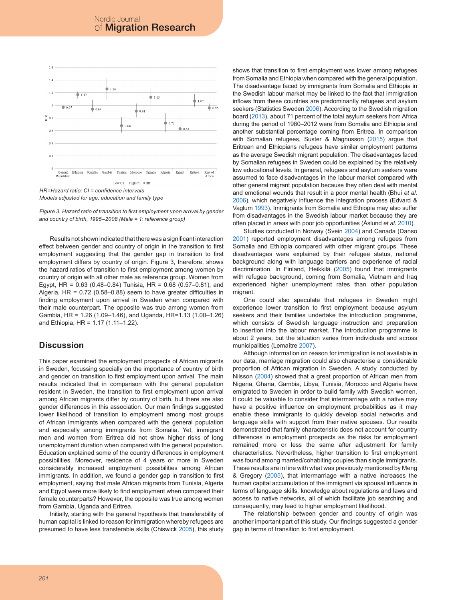



*Figure 3. Hazard ratio of transition to first employment upon arrival by gender and country of birth, 1995–2008 (Male = 1: reference group)*

Results not shown indicated that there was a significant interaction effect between gender and country of origin in the transition to first employment suggesting that the gender gap in transition to first employment differs by country of origin. Figure 3, therefore, shows the hazard ratios of transition to first employment among women by country of origin with all other male as reference group. Women from Egypt, HR = 0.63 (0.48–0.84) Tunisia, HR = 0.68 (0.57–0.81), and Algeria,  $HR = 0.72$  (0.58–0.88) seem to have greater difficulties in finding employment upon arrival in Sweden when compared with their male counterpart. The opposite was true among women from Gambia, HR = 1.26 (1.09–1.46), and Uganda, HR=1.13 (1.00–1.26) and Ethiopia, HR = 1.17 (1.11–1.22).

## **Discussion**

This paper examined the employment prospects of African migrants in Sweden, focussing specially on the importance of country of birth and gender on transition to first employment upon arrival. The main results indicated that in comparison with the general population resident in Sweden, the transition to first employment upon arrival among African migrants differ by country of birth, but there are also gender differences in this association. Our main findings suggested lower likelihood of transition to employment among most groups of African immigrants when compared with the general population and especially among immigrants from Somalia. Yet, immigrant men and women from Eritrea did not show higher risks of long unemployment duration when compared with the general population. Education explained some of the country differences in employment possibilities. Moreover, residence of 4 years or more in Sweden considerably increased employment possibilities among African immigrants. In addition, we found a gender gap in transition to first employment, saying that male African migrants from Tunisia, Algeria and Egypt were more likely to find employment when compared their female counterparts? However, the opposite was true among women from Gambia, Uganda and Eritrea.

Initially, starting with the general hypothesis that transferability of human capital is linked to reason for immigration whereby refugees are presumed to have less transferable skills (Chiswick 2005), this study shows that transition to first employment was lower among refugees from Somalia and Ethiopia when compared with the general population. The disadvantage faced by immigrants from Somalia and Ethiopia in the Swedish labour market may be linked to the fact that immigration inflows from these countries are predominantly refugees and asylum seekers (Statistics Sweden 2006). According to the Swedish migration board (2013), about 71 percent of the total asylum seekers from Africa during the period of 1980–2012 were from Somalia and Ethiopia and another substantial percentage coming from Eritrea. In comparison with Somalian refugees, Suster & Magnusson (2015) argue that Eritrean and Ethiopians refugees have similar employment patterns as the average Swedish migrant population. The disadvantages faced by Somalian refugees in Sweden could be explained by the relatively low educational levels. In general, refugees and asylum seekers were assumed to face disadvantages in the labour market compared with other general migrant population because they often deal with mental and emotional wounds that result in a poor mental health (Bhui *et al*. 2006), which negatively influence the integration process (Edvard & Vaglum 1993). Immigrants from Somalia and Ethiopia may also suffer from disadvantages in the Swedish labour market because they are often placed in areas with poor job opportunities (Åslund *et al*. 2010).

Studies conducted in Norway (Svein 2004) and Canada (Danso 2001) reported employment disadvantages among refugees from Somalia and Ethiopia compared with other migrant groups. These disadvantages were explained by their refugee status, national background along with language barriers and experience of racial discrimination. In Finland, Heikkilä (2005) found that immigrants with refugee background, coming from Somalia, Vietnam and Iraq experienced higher unemployment rates than other population migrant.

One could also speculate that refugees in Sweden might experience lower transition to first employment because asylum seekers and their families undertake the introduction programme, which consists of Swedish language instruction and preparation to insertion into the labour market. The introduction programme is about 2 years, but the situation varies from individuals and across municipalities (Lemaître 2007).

Although information on reason for immigration is not available in our data, marriage migration could also characterise a considerable proportion of African migration in Sweden. A study conducted by Nilsson (2004) showed that a great proportion of African men from Nigeria, Ghana, Gambia, Libya, Tunisia, Morocco and Algeria have emigrated to Sweden in order to build family with Swedish women. It could be valuable to consider that intermarriage with a native may have a positive influence on employment probabilities as it may enable these immigrants to quickly develop social networks and language skills with support from their native spouses. Our results demonstrated that family characteristic does not account for country differences in employment prospects as the risks for employment remained more or less the same after adjustment for family characteristics. Nevertheless, higher transition to first employment was found among married/cohabiting couples than single immigrants. These results are in line with what was previously mentioned by Meng & Gregory (2005), that intermarriage with a native increases the human capital accumulation of the immigrant via spousal influence in terms of language skills, knowledge about regulations and laws and access to native networks, all of which facilitate job searching and consequently, may lead to higher employment likelihood.

The relationship between gender and country of origin was another important part of this study. Our findings suggested a gender gap in terms of transition to first employment.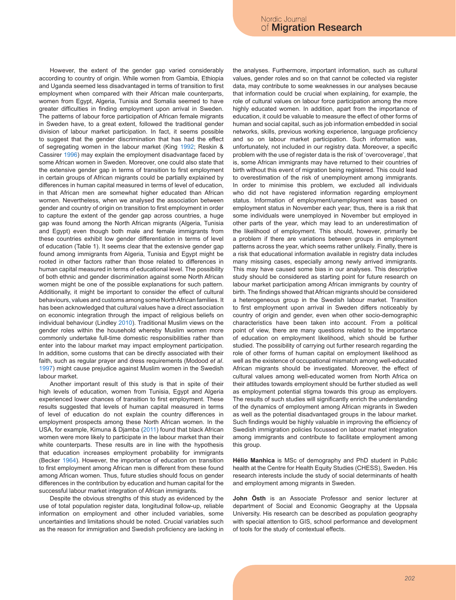However, the extent of the gender gap varied considerably according to country of origin. While women from Gambia, Ethiopia and Uganda seemed less disadvantaged in terms of transition to first employment when compared with their African male counterparts, women from Egypt, Algeria, Tunisia and Somalia seemed to have greater difficulties in finding employment upon arrival in Sweden. The patterns of labour force participation of African female migrants in Sweden have, to a great extent, followed the traditional gender division of labour market participation. In fact, it seems possible to suggest that the gender discrimination that has had the effect of segregating women in the labour market (King 1992; Reskin & Cassirer 1996) may explain the employment disadvantage faced by some African women in Sweden. Moreover, one could also state that the extensive gender gap in terms of transition to first employment in certain groups of African migrants could be partially explained by differences in human capital measured in terms of level of education, in that African men are somewhat higher educated than African women. Nevertheless, when we analysed the association between gender and country of origin on transition to first employment in order to capture the extent of the gender gap across countries, a huge gap was found among the North African migrants (Algeria, Tunisia and Egypt) even though both male and female immigrants from these countries exhibit low gender differentiation in terms of level of education (Table 1). It seems clear that the extensive gender gap found among immigrants from Algeria, Tunisia and Egypt might be rooted in other factors rather than those related to differences in human capital measured in terms of educational level. The possibility of both ethnic and gender discrimination against some North African women might be one of the possible explanations for such pattern. Additionally, it might be important to consider the effect of cultural behaviours, values and customs among some North African families. It has been acknowledged that cultural values have a direct association on economic integration through the impact of religious beliefs on individual behaviour (Lindley 2010). Traditional Muslim views on the gender roles within the household whereby Muslim women more commonly undertake full-time domestic responsibilities rather than enter into the labour market may impact employment participation. In addition, some customs that can be directly associated with their faith, such as regular prayer and dress requirements (Modood *et al*. 1997) might cause prejudice against Muslim women in the Swedish labour market.

Another important result of this study is that in spite of their high levels of education, women from Tunisia, Egypt and Algeria experienced lower chances of transition to first employment. These results suggested that levels of human capital measured in terms of level of education do not explain the country differences in employment prospects among these North African women. In the USA, for example, Kimuna & Djamba (2011) found that black African women were more likely to participate in the labour market than their white counterparts. These results are in line with the hypothesis that education increases employment probability for immigrants (Becker 1964). However, the importance of education on transition to first employment among African men is different from these found among African women. Thus, future studies should focus on gender differences in the contribution by education and human capital for the successful labour market integration of African immigrants.

Despite the obvious strengths of this study as evidenced by the use of total population register data, longitudinal follow-up, reliable information on employment and other included variables, some uncertainties and limitations should be noted. Crucial variables such as the reason for immigration and Swedish proficiency are lacking in the analyses. Furthermore, important information, such as cultural values, gender roles and so on that cannot be collected via register data, may contribute to some weaknesses in our analyses because that information could be crucial when explaining, for example, the role of cultural values on labour force participation among the more highly educated women. In addition, apart from the importance of education, it could be valuable to measure the effect of other forms of human and social capital, such as job information embedded in social networks, skills, previous working experience, language proficiency and so on labour market participation. Such information was, unfortunately, not included in our registry data. Moreover, a specific problem with the use of register data is the risk of 'overcoverage', that is, some African immigrants may have returned to their countries of birth without this event of migration being registered. This could lead to overestimation of the risk of unemployment among immigrants. In order to minimise this problem, we excluded all individuals who did not have registered information regarding employment status. Information of employment/unemployment was based on employment status in November each year; thus, there is a risk that some individuals were unemployed in November but employed in other parts of the year, which may lead to an underestimation of the likelihood of employment. This should, however, primarily be a problem if there are variations between groups in employment patterns across the year, which seems rather unlikely. Finally, there is a risk that educational information available in registry data includes many missing cases, especially among newly arrived immigrants. This may have caused some bias in our analyses. This descriptive study should be considered as starting point for future research on labour market participation among African immigrants by country of birth. The findings showed that African migrants should be considered a heterogeneous group in the Swedish labour market. Transition to first employment upon arrival in Sweden differs noticeably by country of origin and gender, even when other socio-demographic characteristics have been taken into account. From a political point of view, there are many questions related to the importance of education on employment likelihood, which should be further studied. The possibility of carrying out further research regarding the role of other forms of human capital on employment likelihood as well as the existence of occupational mismatch among well-educated African migrants should be investigated. Moreover, the effect of cultural values among well-educated women from North Africa on their attitudes towards employment should be further studied as well as employment potential stigma towards this group as employers. The results of such studies will significantly enrich the understanding of the dynamics of employment among African migrants in Sweden as well as the potential disadvantaged groups in the labour market. Such findings would be highly valuable in improving the efficiency of Swedish immigration policies focussed on labour market integration among immigrants and contribute to facilitate employment among this group.

**Hélio Manhica** is MSc of demography and PhD student in Public health at the Centre for Health Equity Studies (CHESS), Sweden. His research interests include the study of social determinants of health and employment among migrants in Sweden.

**John Östh** is an Associate Professor and senior lecturer at department of Social and Economic Geography at the Uppsala University. His research can be described as population geography with special attention to GIS, school performance and development of tools for the study of contextual effects.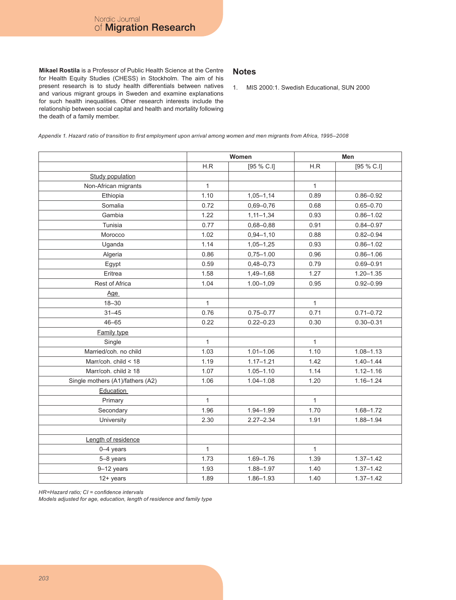**Mikael Rostila** is a Professor of Public Health Science at the Centre for Health Equity Studies (CHESS) in Stockholm. The aim of his present research is to study health differentials between natives and various migrant groups in Sweden and examine explanations for such health inequalities. Other research interests include the relationship between social capital and health and mortality following the death of a family member.

## **Notes**

1. MIS 2000:1. Swedish Educational, SUN 2000

*Appendix 1. Hazard ratio of transition to first employment upon arrival among women and men migrants from Africa, 1995–2008*

|                                  |              | Women           | Men          |               |  |
|----------------------------------|--------------|-----------------|--------------|---------------|--|
|                                  | H.R          | [95 % C.I]      | H.R          | [95 % C.I]    |  |
| <b>Study population</b>          |              |                 |              |               |  |
| Non-African migrants             | $\mathbf{1}$ |                 | $\mathbf{1}$ |               |  |
| Ethiopia                         | 1.10         | $1,05 - 1,14$   | 0.89         | $0.86 - 0.92$ |  |
| Somalia                          | 0.72         | $0.69 - 0.76$   | 0.68         | $0.65 - 0.70$ |  |
| Gambia                           | 1.22         | $1, 11 - 1, 34$ | 0.93         | $0.86 - 1.02$ |  |
| Tunisia                          | 0.77         | 0,68-0,88       | 0.91         | $0.84 - 0.97$ |  |
| Morocco                          | 1.02         | $0,94 - 1,10$   | 0.88         | $0.82 - 0.94$ |  |
| Uganda                           | 1.14         | $1,05 - 1,25$   | 0.93         | $0.86 - 1.02$ |  |
| Algeria                          | 0.86         | $0,75 - 1.00$   | 0.96         | $0.86 - 1.06$ |  |
| Egypt                            | 0.59         | $0,48 - 0,73$   | 0.79         | $0.69 - 0.91$ |  |
| Eritrea                          | 1.58         | 1,49-1,68       | 1.27         | $1.20 - 1.35$ |  |
| Rest of Africa                   | 1.04         | $1.00 - 1,09$   | 0.95         | $0.92 - 0.99$ |  |
| Age                              |              |                 |              |               |  |
| $18 - 30$                        | $\mathbf{1}$ |                 | $\mathbf{1}$ |               |  |
| $31 - 45$                        | 0.76         | $0.75 - 0.77$   | 0.71         | $0.71 - 0.72$ |  |
| $46 - 65$                        | 0.22         | $0.22 - 0.23$   | 0.30         | $0.30 - 0.31$ |  |
| <b>Family type</b>               |              |                 |              |               |  |
| Single                           | $\mathbf{1}$ |                 | $\mathbf{1}$ |               |  |
| Married/coh. no child            | 1.03         | $1.01 - 1.06$   | 1.10         | $1.08 - 1.13$ |  |
| Marr/coh. child < 18             | 1.19         | $1.17 - 1.21$   | 1.42         | $1.40 - 1.44$ |  |
| Marr/coh. child $\geq 18$        | 1.07         | $1.05 - 1.10$   | 1.14         | $1.12 - 1.16$ |  |
| Single mothers (A1)/fathers (A2) | 1.06         | $1.04 - 1.08$   | 1.20         | $1.16 - 1.24$ |  |
| <b>Education</b>                 |              |                 |              |               |  |
| Primary                          | $\mathbf{1}$ |                 | $\mathbf{1}$ |               |  |
| Secondary                        | 1.96         | $1.94 - 1.99$   | 1.70         | $1.68 - 1.72$ |  |
| University                       | 2.30         | $2.27 - 2.34$   | 1.91         | $1.88 - 1.94$ |  |
|                                  |              |                 |              |               |  |
| Length of residence              |              |                 |              |               |  |
| 0-4 years                        | $\mathbf{1}$ |                 | $\mathbf{1}$ |               |  |
| 5-8 years                        | 1.73         | $1.69 - 1.76$   | 1.39         | $1.37 - 1.42$ |  |
| 9-12 years                       | 1.93         | $1.88 - 1.97$   | 1.40         | $1.37 - 1.42$ |  |
| 12+ years                        | 1.89         | $1.86 - 1.93$   | 1.40         | $1.37 - 1.42$ |  |

*HR=Hazard ratio; CI = confidence intervals*

*Models adjusted for age, education, length of residence and family type*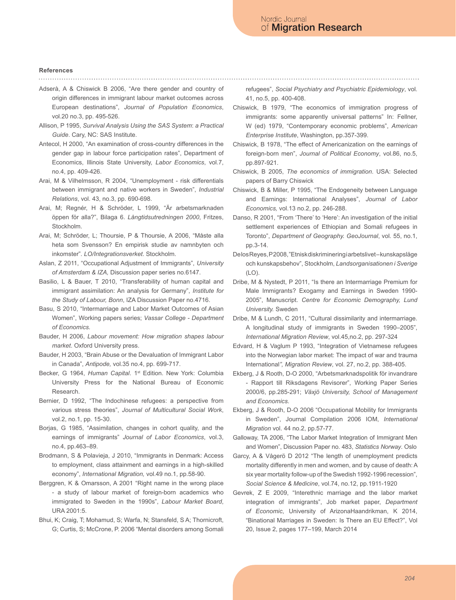#### **References**

- Adserà, A & Chiswick B 2006, "Are there gender and country of origin differences in immigrant labour market outcomes across European destinations", *Journal of Population Economics*, vol.20 no.3, pp. 495-526.
- Allison, P 1995, *Survival Analysis Using the SAS System*: *a Practical Guide*. Cary, NC: SAS Institute.
- Antecol, H 2000, "An examination of cross-country differences in the gender gap in labour force participation rates", Department of Economics, Illinois State University, *Labor Economics*, vol.7, no.4, pp. 409-426.
- Arai, M & Vilhelmsson, R 2004, "Unemployment risk differentials between immigrant and native workers in Sweden", *Industrial Relations*, vol. 43, no.3, pp. 690-698.
- Arai, M; Regnér, H & Schröder, L 1999, "Är arbetsmarknaden öppen för alla?", Bilaga 6. *Långtidsutredningen 2000*, Fritzes, Stockholm.
- Arai, M; Schröder, L; Thoursie, P & Thoursie, A 2006, "Måste alla heta som Svensson? En empirisk studie av namnbyten och inkomster". *LO/Integrationsverket*. Stockholm.
- Aslan, Z 2011, "Occupational Adjustment of Immigrants", *University of Amsterdam & IZA,* Discussion paper series no.6147.
- Basilio, L & Bauer, T 2010, "Transferability of human capital and immigrant assimilation: An analysis for Germany", *Institute for the Study of Labour, Bonn*, IZA Discussion Paper no.4716.
- Basu, S 2010, "Intermarriage and Labor Market Outcomes of Asian Women", Working papers series; *Vassar College - Department of Economics.*
- Bauder, H 2006, *Labour movement: How migration shapes labour market*. Oxford University press.
- Bauder, H 2003, "Brain Abuse or the Devaluation of Immigrant Labor in Canada", *Antipode,* vol.35 no.4, pp. 699-717.
- Becker, G 1964, *Human Capital*. 1<sup>st</sup> Edition. New York: Columbia University Press for the National Bureau of Economic Research.
- Bernier, D 1992, "The Indochinese refugees: a perspective from various stress theories", *Journal of Multicultural Social Work*, vol.2, no.1, pp. 15-30.
- Borjas, G 1985, "Assimilation, changes in cohort quality, and the earnings of immigrants" *Journal of Labor Economics*, vol.3, no.4, pp.463–89.
- Brodmann, S & Polavieja, J 2010, "Immigrants in Denmark: Access to employment, class attainment and earnings in a high-skilled economy", *International Migration,* vol.49 no.1, pp.58-90.
- Berggren, K & Omarsson, A 2001 "Right name in the wrong place - a study of labour market of foreign-born academics who immigrated to Sweden in the 1990s", *Labour Market Board*, URA 2001:5.
- Bhui, K; Craig, T; Mohamud, S; Warfa, N; Stansfeld, S A; Thornicroft, G; Curtis, S; McCrone, P. 2006 "Mental disorders among Somali

refugees", *Social Psychiatry and Psychiatric Epidemiology*, vol. 41, no.5, pp. 400-408.

- Chiswick, B 1979, "The economics of immigration progress of immigrants: some apparently universal patterns" In: Fellner, W (ed) 1979, "Contemporary economic problems", *American Enterprise Institute*, Washington, pp.357-399.
- Chiswick, B 1978, "The effect of Americanization on the earnings of foreign-born men", *Journal of Political Economy*, vol.86, no.5, pp.897-921.
- Chiswick, B 2005, *The economics of immigration*. USA: Selected papers of Barry Chiswick
- Chiswick, B & Miller, P 1995, "The Endogeneity between Language and Earnings: International Analyses", *Journal of Labor Economics,* vol.13 no.2, pp. 246-288.
- Danso, R 2001, "From 'There' to 'Here': An investigation of the initial settlement experiences of Ethiopian and Somali refugees in Toronto", *Department of Geography. GeoJournal*, vol. 55, no.1, pp.3-14.
- De los Reyes, P 2008, "Etnisk diskriminering i arbetslivet kunskapsläge och kunskapsbehov", Stockholm, *Landsorganisationen i Sverige*  $(LO)$ .
- Dribe, M & Nystedt, P 2011, "Is there an Intermarriage Premium for Male Immigrants? Exogamy and Earnings in Sweden 1990- 2005", Manuscript. *Centre for Economic Demography, Lund University.* Sweden
- Dribe, M & Lundh, C 2011, "Cultural dissimilarity and intermarriage. A longitudinal study of immigrants in Sweden 1990–2005", *International Migration Review*, vol.45,no.2, pp. 297-324
- Edvard, H & Vaglum P 1993, "Integration of Vietnamese refugees into the Norwegian labor market: The impact of war and trauma International*", Migration Review*, vol. 27, no.2, pp. 388-405.
- Ekberg, J & Rooth, D-O 2000, "Arbetsmarknadspolitik för invandrare - Rapport till Riksdagens Revisorer", Working Paper Series 2000/6, pp.285-291; *Växjö University, School of Management and Economics*.
- Ekberg, J & Rooth, D-O 2006 "Occupational Mobility for Immigrants in Sweden", Journal Compilation 2006 IOM, *International Migration* vol. 44 no.2, pp.57-77.
- Galloway, TA 2006, "The Labor Market Integration of Immigrant Men and Women", Discussion Paper no. 483, *Statistics Norway*. Oslo
- Garcy, A & Vågerö D 2012 "The length of unemployment predicts mortality differently in men and women, and by cause of death: A six year mortality follow-up of the Swedish 1992-1996 recession", *Social Science & Medicine*, vol.74, no.12, pp.1911-1920
- Gevrek, Z E 2009, "Interethnic marriage and the labor market integration of immigrants", Job market paper, *Department of Economic*, University of ArizonaHaandrikman, K 2014, "Binational Marriages in Sweden: Is There an EU Effect?", Vol 20, Issue 2, pages 177–199, March 2014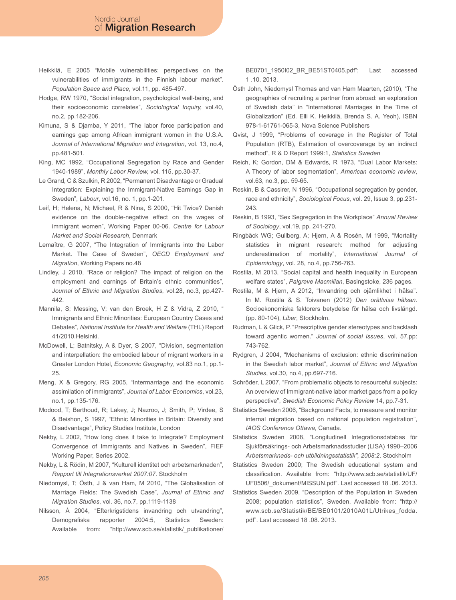- Heikkilä, E 2005 "Mobile vulnerabilities: perspectives on the vulnerabilities of immigrants in the Finnish labour market". *Population Space and Place*, vol.11, pp. 485-497.
- Hodge, RW 1970, "Social integration, psychological well-being, and their socioeconomic correlates", *Sociological Inquiry,* vol.40, no.2, pp.182-206.
- Kimuna, S & Djamba, Y 2011, "The labor force participation and earnings gap among African immigrant women in the U.S.A. *Journal of International Migration and Integration*, vol. 13, no.4, pp.481-501.
- King, MC 1992, "Occupational Segregation by Race and Gender 1940-1989", *Monthly Labor Review,* vol. 115, pp.30-37.
- Le Grand, C & Szulkin, R 2002, "Permanent Disadvantage or Gradual Integration: Explaining the Immigrant-Native Earnings Gap in Sweden", *Labour*, vol.16, no. 1, pp.1-201.
- Leif, H; Helena, N; Michael, R & Nina, S 2000, "Hit Twice? Danish evidence on the double-negative effect on the wages of immigrant women", Working Paper 00-06. *Centre for Labour Market and Social Research*, Denmark
- Lemaître, G 2007, "The Integration of Immigrants into the Labor Market. The Case of Sweden", *OECD Employment and Migration*, Working Papers no.48
- Lindley, J 2010, "Race or religion? The impact of religion on the employment and earnings of Britain's ethnic communities", *Journal of Ethnic and Migration Studies*, vol.28, no.3, pp.427- 442.
- Mannila, S; Messing, V; van den Broek, H Z & Vidra, Z 2010, " Immigrants and Ethnic Minorities: European Country Cases and Debates", *National Institute for Health and Welfare* (THL) Report 41/2010.Helsinki.
- McDowell, L; Batnitsky, A & Dyer, S 2007, "Division, segmentation and interpellation: the embodied labour of migrant workers in a Greater London Hotel, *Economic Geography*, vol.83 no.1, pp.1- 25.
- Meng, X & Gregory, RG 2005, "Intermarriage and the economic assimilation of immigrants", *Journal of Labor Economics*, vol.23, no.1, pp.135-176.
- Modood, T; Berthoud, R; Lakey, J; Nazroo, J; Smith, P; Virdee, S & Beishon, S 1997, "Ethnic Minorities in Britain: Diversity and Disadvantage", Policy Studies Institute, London
- Nekby, L 2002, "How long does it take to Integrate? Employment Convergence of Immigrants and Natives in Sweden", FIEF Working Paper, Series 2002.
- Nekby, L & Rödin, M 2007, "Kulturell identitet och arbetsmarknaden", *Rapport till Integrationsverket 2007:07*. Stockholm
- Niedomysl, T; Östh, J & van Ham, M 2010, "The Globalisation of Marriage Fields: The Swedish Case", *Journal of Ethnic and Migration Studies*, vol. 36, no.7, pp.1119-1138
- Nilsson, Å 2004, "Efterkrigstidens invandring och utvandring", Demografiska rapporter 2004:5, Statistics Sweden: Available from: "http://www.scb.se/statistik/\_publikationer/

BE0701\_1950I02\_BR\_BE51ST0405.pdf"; Last accessed 1 .10. 2013.

- Östh John, Niedomysl Thomas and van Ham Maarten, (2010), "The geographies of recruiting a partner from abroad: an exploration of Swedish data" in "International Marriages in the Time of Globalization" (Ed. Elli K. Heikkilä, Brenda S. A. Yeoh), ISBN 978-1-61761-065-3, Nova Science Publishers
- Qvist, J 1999, "Problems of coverage in the Register of Total Population (RTB), Estimation of overcoverage by an indirect method", R & D Report 1999:1, *Statistics Sweden*
- Reich, K; Gordon, DM & Edwards, R 1973, "Dual Labor Markets: A Theory of labor segmentation", *American economic review*, vol.63, no.3, pp. 59-65.
- Reskin, B & Cassirer, N 1996, "Occupational segregation by gender, race and ethnicity", *Sociological Focus*, vol. 29, Issue 3, pp.231- 243.
- Reskin, B 1993, "Sex Segregation in the Workplace" *Annual Review of Sociology*, vol.19, pp. 241-270.
- Ringbäck WG; Gullberg, A; Hjern, A & Rosén, M 1999, "Mortality statistics in migrant research: method for adjusting underestimation of mortality", *International Journal of Epidemiology*, vol. 28, no.4, pp.756-763.
- Rostila, M 2013, "Social capital and health inequality in European welfare states", *Palgrave Macmillan*, Basingstoke, 236 pages.
- Rostila, M & Hjern, A 2012, "Invandring och ojämlikhet i hälsa". In M. Rostila & S. Toivanen (2012) *Den orättvisa hälsan*. Socioekonomiska faktorers betydelse för hälsa och livslängd. (pp. 80-104), *Liber*, Stockholm.
- Rudman, L & Glick, P. "Prescriptive gender stereotypes and backlash toward agentic women." *Journal of social issues*, vol. 57.pp: 743-762.
- Rydgren, J 2004, "Mechanisms of exclusion: ethnic discrimination in the Swedish labor market", *Journal of Ethnic and Migration Studies*, vol.30, no.4, pp.697-716.
- Schröder, L 2007, "From problematic objects to resourceful subjects: An overview of Immigrant-native labor market gaps from a policy perspective", *Swedish Economic Policy Review* 14, pp.7-31.
- Statistics Sweden 2006, "Background Facts, to measure and monitor internal migration based on national population registration", *IAOS Conference Ottawa*, Canada.
- Statistics Sweden 2008, "Longitudinell Integrationsdatabas för Sjukförsäkrings- och Arbetsmarknadsstudier (LISA) 1990–2006 *Arbetsmarknads- och utbildningsstatistik", 2008:2*. Stockholm
- Statistics Sweden 2000; The Swedish educational system and classification. Available from: "http://www.scb.se/statistik/UF/ UF0506/\_dokument/MISSUN.pdf". Last accessed 18 .06. 2013.
- Statistics Sweden 2009, "Description of the Population in Sweden 2008; population statistics", Sweden. Available from: "http:// www.scb.se/Statistik/BE/BE0101/2010A01L/Utrikes\_fodda. pdf". Last accessed 18 .08. 2013.